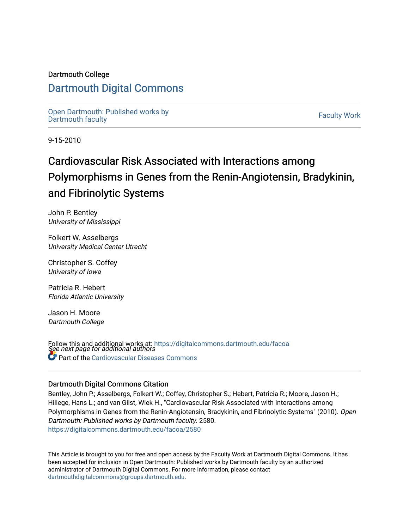## Dartmouth College

## [Dartmouth Digital Commons](https://digitalcommons.dartmouth.edu/)

[Open Dartmouth: Published works by](https://digitalcommons.dartmouth.edu/facoa)  Open Dartmouth Faculty Workship Faculty Work<br>[Dartmouth faculty](https://digitalcommons.dartmouth.edu/facoa)

9-15-2010

# Cardiovascular Risk Associated with Interactions among Polymorphisms in Genes from the Renin-Angiotensin, Bradykinin, and Fibrinolytic Systems

John P. Bentley University of Mississippi

Folkert W. Asselbergs University Medical Center Utrecht

Christopher S. Coffey University of Iowa

Patricia R. Hebert Florida Atlantic University

Jason H. Moore Dartmouth College

Follow this and additional works at: [https://digitalcommons.dartmouth.edu/facoa](https://digitalcommons.dartmouth.edu/facoa?utm_source=digitalcommons.dartmouth.edu%2Ffacoa%2F2580&utm_medium=PDF&utm_campaign=PDFCoverPages)<br>See next page for additional authors **Part of the [Cardiovascular Diseases Commons](http://network.bepress.com/hgg/discipline/929?utm_source=digitalcommons.dartmouth.edu%2Ffacoa%2F2580&utm_medium=PDF&utm_campaign=PDFCoverPages)** 

### Dartmouth Digital Commons Citation

Bentley, John P.; Asselbergs, Folkert W.; Coffey, Christopher S.; Hebert, Patricia R.; Moore, Jason H.; Hillege, Hans L.; and van Gilst, Wiek H., "Cardiovascular Risk Associated with Interactions among Polymorphisms in Genes from the Renin-Angiotensin, Bradykinin, and Fibrinolytic Systems" (2010). Open Dartmouth: Published works by Dartmouth faculty. 2580. [https://digitalcommons.dartmouth.edu/facoa/2580](https://digitalcommons.dartmouth.edu/facoa/2580?utm_source=digitalcommons.dartmouth.edu%2Ffacoa%2F2580&utm_medium=PDF&utm_campaign=PDFCoverPages) 

This Article is brought to you for free and open access by the Faculty Work at Dartmouth Digital Commons. It has been accepted for inclusion in Open Dartmouth: Published works by Dartmouth faculty by an authorized administrator of Dartmouth Digital Commons. For more information, please contact [dartmouthdigitalcommons@groups.dartmouth.edu](mailto:dartmouthdigitalcommons@groups.dartmouth.edu).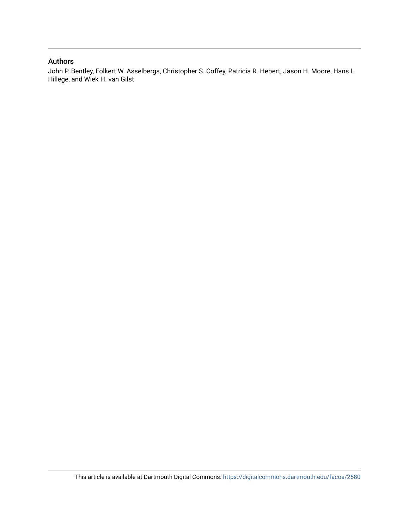## Authors

John P. Bentley, Folkert W. Asselbergs, Christopher S. Coffey, Patricia R. Hebert, Jason H. Moore, Hans L. Hillege, and Wiek H. van Gilst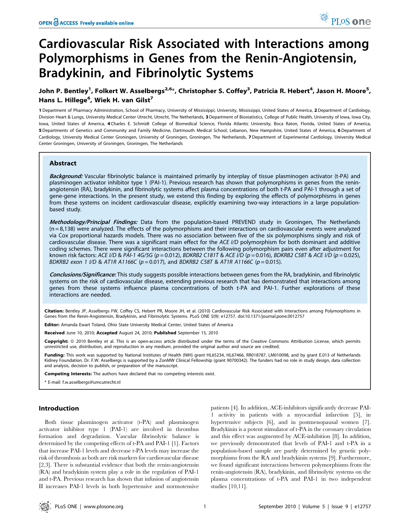## Cardiovascular Risk Associated with Interactions among Polymorphisms in Genes from the Renin-Angiotensin, Bradykinin, and Fibrinolytic Systems

## John P. Bentley<sup>1</sup>, Folkert W. Asselbergs<sup>2,6</sup>\*, Christopher S. Coffey<sup>3</sup>, Patricia R. Hebert<sup>4</sup>, Jason H. Moore<sup>5</sup>, Hans L. Hillege<sup>6</sup>, Wiek H. van Gilst<sup>7</sup>

1 Department of Pharmacy Administration, School of Pharmacy, University of Mississippi, University, Mississippi, United States of America, 2 Department of Cardiology, Division Heart & Lungs, University Medical Center Utrecht, Utrecht, The Netherlands, 3 Department of Biostatistics, College of Public Health, University of Iowa, Iowa City, Iowa, United States of America, 4 Charles E. Schmidt College of Biomedical Science, Florida Atlantic University, Boca Raton, Florida, United States of America, 5 Departments of Genetics and Community and Family Medicine, Dartmouth Medical School, Lebanon, New Hampshire, United States of America, 6 Department of Cardiology, University Medical Center Groningen, University of Groningen, Groningen, The Netherlands, 7Department of Experimental Cardiology, University Medical Center Groningen, University of Groningen, Groningen, The Netherlands

#### Abstract

Background: Vascular fibrinolytic balance is maintained primarily by interplay of tissue plasminogen activator (t-PA) and plasminogen activator inhibitor type 1 (PAI-1). Previous research has shown that polymorphisms in genes from the reninangiotensin (RA), bradykinin, and fibrinolytic systems affect plasma concentrations of both t-PA and PAI-1 through a set of gene-gene interactions. In the present study, we extend this finding by exploring the effects of polymorphisms in genes from these systems on incident cardiovascular disease, explicitly examining two-way interactions in a large populationbased study.

Methodology/Principal Findings: Data from the population-based PREVEND study in Groningen, The Netherlands  $(n = 8,138)$  were analyzed. The effects of the polymorphisms and their interactions on cardiovascular events were analyzed via Cox proportional hazards models. There was no association between five of the six polymorphisms singly and risk of cardiovascular disease. There was a significant main effect for the ACE I/D polymorphism for both dominant and additive coding schemes. There were significant interactions between the following polymorphism pairs even after adjustment for known risk factors: ACE I/D & PAI-1 4G/5G (p = 0.012), BDKRB2 C181T & ACE I/D (p = 0.016), BDKRB2 C58T & ACE I/D (p = 0.025), BDKRB2 exon 1 I/D & AT1R A1166C (p = 0.017), and BDKRB2 C58T & AT1R A1166C (p = 0.015).

Conclusions/Significance: This study suggests possible interactions between genes from the RA, bradykinin, and fibrinolytic systems on the risk of cardiovascular disease, extending previous research that has demonstrated that interactions among genes from these systems influence plasma concentrations of both t-PA and PAI-1. Further explorations of these interactions are needed.

Citation: Bentley JP, Asselbergs FW, Coffey CS, Hebert PR, Moore JH, et al. (2010) Cardiovascular Risk Associated with Interactions among Polymorphisms in Genes from the Renin-Angiotensin, Bradykinin, and Fibrinolytic Systems. PLoS ONE 5(9): e12757. doi:10.1371/journal.pone.0012757

Editor: Amanda Ewart Toland, Ohio State University Medical Center, United States of America

Received June 10, 2010; Accepted August 24, 2010; Published September 15, 2010

Copyright: © 2010 Bentley et al. This is an open-access article distributed under the terms of the Creative Commons Attribution License, which permits unrestricted use, distribution, and reproduction in any medium, provided the original author and source are credited.

Funding: This work was supported by National Institutes of Health (NIH) grant HL65234, HL67466, RR018787, LM010098, and by grant E.013 of Netherlands Kidney Foundation. Dr. F.W. Asselbergs is supported by a ZonMW Clinical Fellowship (grant 90700342). The funders had no role in study design, data collection and analysis, decision to publish, or preparation of the manuscript.

Competing Interests: The authors have declared that no competing interests exist.

\* E-mail: f.w.asselbergs@umcutrecht.nl

#### Introduction

Both tissue plasminogen activator (t-PA) and plasminogen activator inhibitor type 1 (PAI-1) are involved in thrombus formation and degradation. Vascular fibrinolytic balance is determined by the competing effects of t-PA and PAI-1 [1]. Factors that increase PAI-1 levels and decrease t-PA levels may increase the risk of thrombosis as both are risk markers for cardiovascular disease [2,3]. There is substantial evidence that both the renin-angiotensin (RA) and bradykinin system play a role in the regulation of PAI-1 and t-PA. Previous research has shown that infusion of angiotensin II increases PAI-1 levels in both hypertensive and normotensive patients [4]. In addition, ACE-inhibitors significantly decrease PAI-1 activity in patients with a myocardial infarction [5], in hypertensive subjects [6], and in postmenopausal women [7]. Bradykinin is a potent stimulator of t-PA in the coronary circulation and this effect was augmented by ACE-inhibition [8]. In addition, we previously demonstrated that levels of PAI-1 and t-PA in a population-based sample are partly determined by genetic polymorphisms from the RA and bradykinin systems [9]. Furthermore, we found significant interactions between polymorphisms from the renin-angiotensin (RA), bradykinin, and fibrinolytic systems on the plasma concentrations of t-PA and PAI-1 in two independent studies [10,11].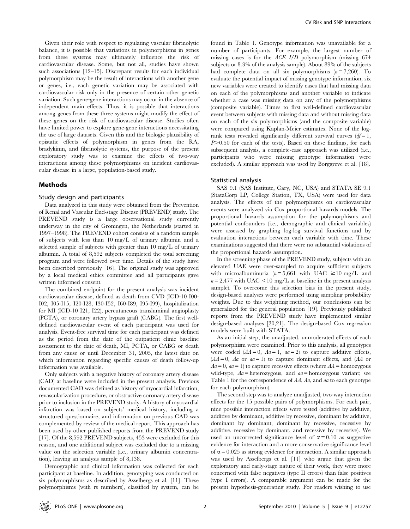Given their role with respect to regulating vascular fibrinolytic balance, it is possible that variations in polymorphisms in genes from these systems may ultimately influence the risk of cardiovascular disease. Some, but not all, studies have shown such associations [12–15]. Discrepant results for each individual polymorphism may be the result of interactions with another gene or genes, i.e., each genetic variation may be associated with cardiovascular risk only in the presence of certain other genetic variation. Such gene-gene interactions may occur in the absence of independent main effects. Thus, it is possible that interactions among genes from these three systems might modify the effect of these genes on the risk of cardiovascular disease. Studies often have limited power to explore gene-gene interactions necessitating the use of large datasets. Given this and the biologic plausibility of epistatic effects of polymorphism in genes from the RA, bradykinin, and fibrinolytic systems, the purpose of the present exploratory study was to examine the effects of two-way interactions among these polymorphisms on incident cardiovascular disease in a large, population-based study.

#### Methods

#### Study design and participants

Data analyzed in this study were obtained from the Prevention of Renal and Vascular End-stage Disease (PREVEND) study. The PREVEND study is a large observational study currently underway in the city of Groningen, the Netherlands (started in 1997–1998). The PREVEND cohort consists of a random sample of subjects with less than 10 mg/L of urinary albumin and a selected sample of subjects with greater than 10 mg/L of urinary albumin. A total of 8,592 subjects completed the total screening program and were followed over time. Details of the study have been described previously [16]. The original study was approved by a local medical ethics committee and all participants gave written informed consent.

The combined endpoint for the present analysis was incident cardiovascular disease, defined as death from CVD (ICD-10 I00- I02, I05-I15, I20-I28, I30-I52, I60-I89, I95-I99), hospitalization for MI (ICD-10 I21, I22), percutaneous transluminal angioplasty (PCTA), or coronary artery bypass graft (CABG). The first welldefined cardiovascular event of each participant was used for analysis. Event-free survival time for each participant was defined as the period from the date of the outpatient clinic baseline assessment to the date of death, MI, PCTA, or CABG or death from any cause or until December 31, 2005, the latest date on which information regarding specific causes of death follow-up information was available.

Only subjects with a negative history of coronary artery disease (CAD) at baseline were included in the present analysis. Previous documented CAD was defined as history of myocardial infarction, revascularization procedure, or obstructive coronary artery disease prior to inclusion in the PREVEND study. A history of myocardial infarction was based on subjects' medical history, including a structured questionnaire, and information on previous CAD was complemented by review of the medical report. This approach has been used by other published reports from the PREVEND study [17]. Of the 8,592 PREVEND subjects, 453 were excluded for this reason, and one additional subject was excluded due to a missing value on the selection variable (i.e., urinary albumin concentration), leaving an analysis sample of 8,138.

Demographic and clinical information was collected for each participant at baseline. In addition, genotyping was conducted on six polymorphisms as described by Asselbergs et al. [11]. These polymorphisms (with rs numbers), classified by system, can be

found in Table 1. Genotype information was unavailable for a number of participants. For example, the largest number of missing cases is for the ACE I/D polymorphism (missing 674 subjects or 8.3% of the analysis sample). About 89% of the subjects had complete data on all six polymorphisms  $(n = 7,260)$ . To evaluate the potential impact of missing genotype information, six new variables were created to identify cases that had missing data on each of the polymorphisms and another variable to indicate whether a case was missing data on any of the polymorphisms (composite variable). Times to first well-defined cardiovascular event between subjects with missing data and without missing data on each of the six polymorphisms (and the composite variable) were compared using Kaplan-Meier estimates. None of the logrank tests revealed significantly different survival curves  $df=1$ ,  $P > 0.50$  for each of the tests). Based on these findings, for each subsequent analysis, a complete-case approach was utilized (i.e., participants who were missing genotype information were excluded). A similar approach was used by Borggreve et al. [18].

#### Statistical analysis

SAS 9.1 (SAS Institute, Cary, NC, USA) and STATA SE 9.1 (StataCorp LP, College Station, TX, USA) were used for data analysis. The effects of the polymorphisms on cardiovascular events were analyzed via Cox proportional hazards models. The proportional hazards assumption for the polymorphisms and potential confounders (i.e., demographic and clinical variables) were assessed by graphing log-log survival functions and by evaluation interactions between each variable with time. These examinations suggested that there were no substantial violations of the proportional hazards assumption.

In the screening phase of the PREVEND study, subjects with an elevated UAE were over-sampled to acquire sufficient subjects with microalbuminuria ( $n = 5,661$  with UAC  $\geq 10$  mg/L and  $n = 2,477$  with UAC <10 mg/L at baseline in the present analysis sample). To overcome this selection bias in the present study, design-based analyses were performed using sampling probability weights. Due to this weighting method, our conclusions can be generalized for the general population [19]. Previously published reports from the PREVEND study have implemented similar design-based analyses [20,21]. The design-based Cox regression models were built with STATA.

As an initial step, the unadjusted, unmoderated effects of each polymorphism were examined. Prior to this analysis, all genotypes were coded  $(AA = 0, Aa = 1, aa = 2)$  to capture additive effects,  $(AA = 0, Aa$  or  $aa = 1)$  to capture dominant effects, and  $(AA)$  or  $Aa = 0$ ,  $aa = 1$ ) to capture recessive effects (where  $AA =$ homozygous wild-type,  $Aa$  = heterozygous, and  $aa$  = homozygous variant; see Table 1 for the correspondence of AA, Aa, and aa to each genotype for each polymorphism).

The second step was to analyze unadjusted, two-way interaction effects for the 15 possible pairs of polymorphisms. For each pair, nine possible interaction effects were tested (additive by additive, additive by dominant, additive by recessive, dominant by additive, dominant by dominant, dominant by recessive, recessive by additive, recessive by dominant, and recessive by recessive). We used an uncorrected significance level of  $\alpha = 0.10$  as suggestive evidence for interaction and a more conservative significance level of  $\alpha$  = 0.025 as strong evidence for interaction. A similar approach was used by Asselbergs et al. [11] who argue that given the exploratory and early-stage nature of their work, they were more concerned with false negatives (type II errors) than false positives (type I errors). A comparable argument can be made for the present hypothesis-generating study. For readers wishing to use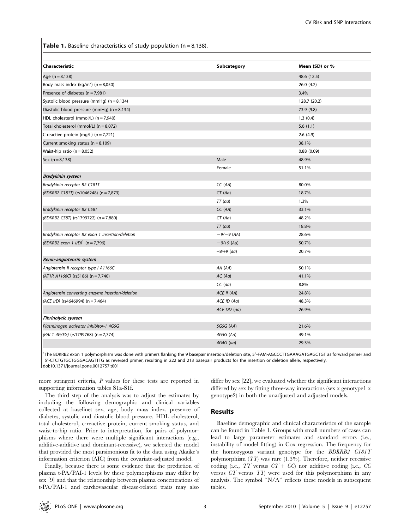**Table 1.** Baseline characteristics of study population ( $n = 8,138$ ).

| Characteristic                                   | Subcategory  | Mean (SD) or % |
|--------------------------------------------------|--------------|----------------|
| Age $(n = 8, 138)$                               |              | 48.6 (12.5)    |
| Body mass index (kg/m <sup>2</sup> ) (n = 8,050) |              | 26.0(4.2)      |
| Presence of diabetes $(n = 7,981)$               |              | 3.4%           |
| Systolic blood pressure (mmHg) $(n = 8, 134)$    |              | 128.7 (20.2)   |
| Diastolic blood pressure (mmHg) $(n = 8, 134)$   |              | 73.9 (9.8)     |
| HDL cholesterol (mmol/L) $(n = 7,940)$           |              | 1.3(0.4)       |
| Total cholesterol (mmol/L) $(n = 8,072)$         |              | 5.6(1.1)       |
| C-reactive protein (mg/L) $(n = 7,721)$          |              | 2.6(4.9)       |
| Current smoking status ( $n = 8,109$ )           |              | 38.1%          |
| Waist-hip ratio $(n = 8,052)$                    |              | 0.88(0.09)     |
| Sex $(n = 8, 138)$                               | Male         | 48.9%          |
|                                                  | Female       | 51.1%          |
| <b>Bradykinin system</b>                         |              |                |
| Bradykinin receptor B2 C181T                     | CC(AA)       | 80.0%          |
| (BDKRB2 C181T) (rs1046248) (n = 7,873)           | CT(Aa)       | 18.7%          |
|                                                  | $TT$ (aa)    | 1.3%           |
| Bradykinin receptor B2 C58T                      | CC(AA)       | 33.1%          |
| (BDKRB2 C58T) (rs1799722) (n = 7,880)            | CT(Aa)       | 48.2%          |
|                                                  | $TT$ (aa)    | 18.8%          |
| Bradykinin receptor B2 exon 1 insertion/deletion | $-9/-9$ (AA) | 28.6%          |
| (BDKRB2 exon 1 $I/D$ ) <sup>1</sup> (n = 7,796)  | $-9/+9$ (Aa) | 50.7%          |
|                                                  | $+9/+9$ (aa) | 20.7%          |
| Renin-angiotensin system                         |              |                |
| Angiotensin II receptor type I A1166C            | AA (AA)      | 50.1%          |
| $(AT1R A1166C)$ (rs5186) (n = 7,740)             | AC (Aa)      | 41.1%          |
|                                                  | $CC$ (aa)    | 8.8%           |
| Angiotensin converting enzyme insertion/deletion | ACE II (AA)  | 24.8%          |
| $(ACE I/D)$ (rs4646994) (n = 7,464)              | ACE ID (Aa)  | 48.3%          |
|                                                  | ACE DD (aa)  | 26.9%          |
| <b>Fibrinolytic system</b>                       |              |                |
| Plasminogen activator inhibitor-1 4G5G           | 5G5G (AA)    | 21.6%          |
| (PAI-1 4G/5G) (rs1799768) (n = 7,774)            | 4G5G (Aa)    | 49.1%          |
|                                                  | $4G4G$ (aa)  | 29.3%          |

<sup>1</sup>The BDKRB2 exon 1 polymorphism was done with primers flanking the 9 basepair insertion/deletion site, 5'-FAM-AGCCCTTGAAAGATGAGCTGT as forward primer and 59-CTCTGTGCTGGGACAGTTTG as reversed primer, resulting in 222 and 213 basepair products for the insertion or deletion allele, respectively. doi:10.1371/journal.pone.0012757.t001

more stringent criteria, P values for these tests are reported in supporting information tables S1a-S1f.

The third step of the analysis was to adjust the estimates by including the following demographic and clinical variables collected at baseline: sex, age, body mass index, presence of diabetes, systolic and diastolic blood pressure, HDL cholesterol, total cholesterol, c-reactive protein, current smoking status, and waist-to-hip ratio. Prior to interpretation, for pairs of polymorphisms where there were multiple significant interactions (e.g., additive-additive and dominant-recessive), we selected the model that provided the most parsimonious fit to the data using Akaike's information criterion (AIC) from the covariate-adjusted model.

Finally, because there is some evidence that the prediction of plasma t-PA/PAI-1 levels by these polymorphisms may differ by sex [9] and that the relationship between plasma concentrations of t-PA/PAI-1 and cardiovascular disease-related traits may also differ by sex [22], we evaluated whether the significant interactions differed by sex by fitting three-way interactions (sex x genotype1 x genotype2) in both the unadjusted and adjusted models.

### Results

Baseline demographic and clinical characteristics of the sample can be found in Table 1. Groups with small numbers of cases can lead to large parameter estimates and standard errors (i.e., instability of model fitting) in Cox regression. The frequency for the homozygous variant genotype for the BDKRB2 C181T polymorphism (TT) was rare (1.3%). Therefore, neither recessive coding (i.e.,  $TT$  versus  $CT + CC$ ) nor additive coding (i.e.,  $CC$ versus CT versus TT) were used for this polymorphism in any analysis. The symbol ''N/A'' reflects these models in subsequent tables.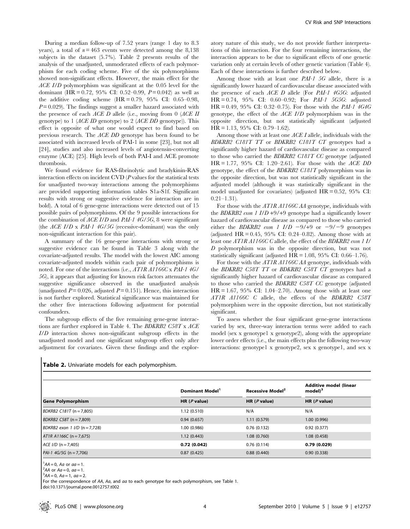During a median follow-up of 7.52 years (range 1 day to 8.3 years), a total of  $n = 463$  events were detected among the 8,138 subjects in the dataset (5.7%). Table 2 presents results of the analysis of the unadjusted, unmoderated effects of each polymorphism for each coding scheme. Five of the six polymorphisms showed non-significant effects. However, the main effect for the ACE I/D polymorphism was significant at the 0.05 level for the dominant (HR = 0.72, 95% CI: 0.52–0.99,  $P = 0.042$ ) as well as the additive coding scheme  $H = 0.79$ , 95% CI: 0.65–0.98,  $P = 0.029$ . The findings suggest a smaller hazard associated with the presence of each  $ACE$  D allele (i.e., moving from 0 ( $ACE$  II genotype) to 1 (ACE ID genotype) to 2 (ACE DD genotype)). This effect is opposite of what one would expect to find based on previous research. The ACE DD genotype has been found to be associated with increased levels of PAI-1 in some [23], but not all [24], studies and also increased levels of angiotensin-converting enzyme (ACE) [25]. High levels of both PAI-I and ACE promote thrombosis.

We found evidence for RAS-fibrinolytic and bradykinin-RAS interaction effects on incident CVD  $(P$  values for the statistical tests for unadjusted two-way interactions among the polymorphisms are provided supporting information tables S1a-S1f. Significant results with strong or suggestive evidence for interaction are in bold). A total of 6 gene-gene interactions were detected out of 15 possible pairs of polymorphisms. Of the 9 possible interactions for the combination of  $ACE I/D$  and  $PAI-1$  4G/5G, 8 were significant (the  $ACE I/D \times PAI-1$  4G/5G (recessive-dominant) was the only non-significant interaction for this pair).

A summary of the 16 gene-gene interactions with strong or suggestive evidence can be found in Table 3 along with the covariate-adjusted results. The model with the lowest AIC among covariate-adjusted models within each pair of polymorphisms is noted. For one of the interactions (i.e., AT1R A1166C x PAI-1 4G/ 5G), it appears that adjusting for known risk factors attenuates the suggestive significance observed in the unadjusted analysis (unadjusted  $P = 0.026$ , adjusted  $P = 0.151$ ). Hence, this interaction is not further explored. Statistical significance was maintained for the other five interactions following adjustment for potential confounders.

The subgroup effects of the five remaining gene-gene interactions are further explored in Table 4. The BDKRB2 C58T x ACE I/D interaction shows non-significant subgroup effects in the unadjusted model and one significant subgroup effect only after adjustment for covariates. Given these findings and the exploratory nature of this study, we do not provide further interpretations of this interaction. For the four remaining interactions, the interaction appears to be due to significant effects of one genetic variation only at certain levels of other genetic variation (Table 4). Each of these interactions is further described below.

Among those with at least one PAI-1 5G allele, there is a significantly lower hazard of cardiovascular disease associated with the presence of each ACE D allele (For PAI-1 4G5G: adjusted HR = 0.74, 95% CI: 0.60–0.92; For PAI-1 5G5G: adjusted HR = 0.49, 95% CI: 0.32–0.75). For those with the PAI-1 4G4G genotype, the effect of the ACE I/D polymorphism was in the opposite direction, but not statistically significant (adjusted HR = 1.13, 95% CI: 0.79–1.62).

Among those with at least one ACE I allele, individuals with the BDKRB2 C181T TT or BDKRB2 C181T CT genotypes had a significantly higher hazard of cardiovascular disease as compared to those who carried the BDKRB2 C181T CC genotype (adjusted  $HR = 1.77$ , 95% CI: 1.20–2.61). For those with the *ACE DD* genotype, the effect of the BDKRB2 C181T polymorphism was in the opposite direction, but was not statistically significant in the adjusted model (although it was statistically significant in the model unadjusted for covariates) (adjusted  $HR = 0.52$ , 95% CI:  $0.21 - 1.31$ .

For those with the *AT1R A1166C AA* genotype, individuals with the BDKRB2 exon 1  $I/D +9/+9$  genotype had a significantly lower hazard of cardiovascular disease as compared to those who carried either the BDKRB2 exon 1 I/D  $-9/+9$  or  $-9/-9$  genotypes (adjusted HR  $= 0.45$ , 95% CI: 0.24–0.82). Among those with at least one AT1R A1166C C allele, the effect of the BDKRB2 exon 1 I/ D polymorphism was in the opposite direction, but was not statistically significant (adjusted  $HR = 1.08$ , 95% CI: 0.66–1.76).

For those with the AT1R A1166C AA genotype, individuals with the BDKRB2 C58T TT or BDKRB2 C58T CT genotypes had a significantly higher hazard of cardiovascular disease as compared to those who carried the BDKRB2 C58T CC genotype (adjusted  $HR = 1.67, 95\% \text{ CI: } 1.04 - 2.70$ . Among those with at least one AT1R A1166C C allele, the effects of the BDKRB2 C58T polymorphism were in the opposite direction, but not statistically significant.

To assess whether the four significant gene-gene interactions varied by sex, three-way interaction terms were added to each model (sex x genotype1 x genotype2), along with the appropriate lower order effects (i.e., the main effects plus the following two-way interactions: genotype1 x genotype2, sex x genotype1, and sex x

|                                 | Dominant Model <sup>1</sup> | Recessive Model <sup>2</sup> | Additive model (linear<br>$model$ <sup>3</sup> |
|---------------------------------|-----------------------------|------------------------------|------------------------------------------------|
| <b>Gene Polymorphism</b>        | HR $(P$ value)              | HR $(P$ value)               | HR $(P$ value)                                 |
| $BDKRB2 C181T (n = 7,805)$      | 1.12(0.510)                 | N/A                          | N/A                                            |
| $BDKRB2$ C58T (n = 7,809)       | 0.94(0.657)                 | 1.11(0.579)                  | 1.00(0.996)                                    |
| BDKRB2 exon 1 $1/D$ (n = 7,728) | 1.00 (0.986)                | 0.76(0.132)                  | 0.92(0.377)                                    |
| $AT1R A1166C (n = 7,675)$       | 1.12(0.443)                 | 1.08(0.760)                  | 1.08(0.458)                                    |
| $ACE I/D (n = 7,405)$           | 0.72(0.042)                 | 0.76(0.114)                  | 0.79(0.029)                                    |
| $PAI-1$ 4G/5G (n = 7,706)       | 0.87(0.425)                 | 0.88(0.440)                  | 0.90(0.338)                                    |

 ${}^{1}AA = 0$ , Aa or aa = 1.

 $^2$ AA or Aa = 0, aa = 1.

doi:10.1371/journal.pone.0012757.t002

 $A^3AA = 0$ ,  $Aa = 1$ ,  $aa = 2$ .

For the correspondence of AA, Aa, and aa to each genotype for each polymorphism, see Table 1.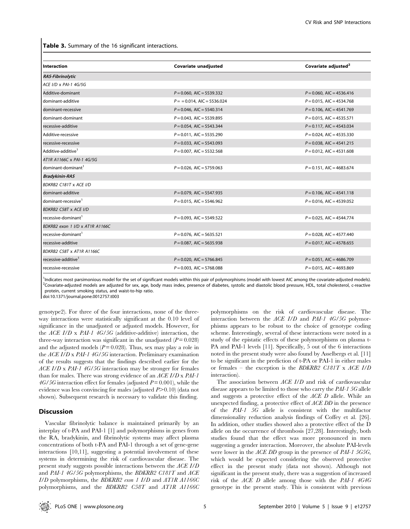Table 3. Summary of the 16 significant interactions.

| Interaction                     | Covariate unadjusted         | Covariate adjusted <sup>2</sup> |
|---------------------------------|------------------------------|---------------------------------|
| <b>RAS-Fibrinolytic</b>         |                              |                                 |
| ACE I/D x PAI-1 4G/5G           |                              |                                 |
| Additive-dominant               | $P = 0.060$ , AIC = 5539.332 | $P = 0.060$ , AIC = 4536.416    |
| dominant-additive               | $P = 0.014$ , AIC = 5536.024 | $P = 0.015$ , AIC = 4534.768    |
| dominant-recessive              | $P = 0.046$ , AIC = 5540.314 | $P = 0.106$ , AIC = 4541.769    |
| dominant-dominant               | $P = 0.043$ , AIC = 5539.895 | $P = 0.015$ , AIC = 4535.571    |
| recessive-additive              | $P = 0.054$ , AIC = 5543.344 | $P = 0.117$ , AIC = 4543.034    |
| Additive-recessive              | $P = 0.011$ , AIC = 5535.290 | $P = 0.024$ , AIC = 4535.330    |
| recessive-recessive             | $P = 0.033$ , AIC = 5543.093 | $P = 0.038$ , AIC = 4541.215    |
| Additive-additive <sup>1</sup>  | $P = 0.007$ , AIC = 5532.568 | $P = 0.012$ , AIC = 4531.608    |
| AT1R A1166C x PAI-1 4G/5G       |                              |                                 |
| dominant-dominant <sup>1</sup>  | $P = 0.026$ , AIC = 5759.063 | $P = 0.151$ , AIC = 4683.674    |
| <b>Bradykinin-RAS</b>           |                              |                                 |
| <b>BDKRB2 C181T x ACE I/D</b>   |                              |                                 |
| dominant-additive               | $P = 0.079$ , AIC = 5547.935 | $P = 0.106$ , AIC = 4541.118    |
| dominant-recessive <sup>1</sup> | $P = 0.015$ , AIC = 5546.962 | $P = 0.016$ , AIC = 4539.052    |
| <b>BDKRB2 C58T x ACE I/D</b>    |                              |                                 |
| recessive-dominant <sup>1</sup> | $P = 0.093$ , AIC = 5549.522 | $P = 0.025$ , AIC = 4544.774    |
| BDKRB2 exon 1 I/D x AT1R A1166C |                              |                                 |
| recessive-dominant <sup>1</sup> | $P = 0.076$ , AIC = 5635.521 | $P = 0.028$ , AIC = 4577.440    |
| recessive-additive              | $P = 0.087$ , AIC = 5635.938 | $P = 0.017$ , AIC = 4578.655    |
| BDKRB2 C58T x AT1R A1166C       |                              |                                 |
| recessive-additive <sup>1</sup> | $P = 0.020$ , AIC = 5766.845 | $P = 0.051$ , AIC = 4686.709    |
| recessive-recessive             | $P = 0.003$ , AIC = 5768.088 | $P = 0.015$ , AIC = 4693.869    |

<sup>1</sup>Indicates most parsimonious model for the set of significant models within this pair of polymorphisms (model with lowest AIC among the covariate-adjusted models).<br><sup>2</sup>Countiate adjusted models are adjusted for sex, age, <sup>2</sup>Covariate-adjusted models are adjusted for sex, age, body mass index, presence of diabetes, systolic and diastolic blood pressure, HDL, total cholesterol, c-reactive protein, current smoking status, and waist-to-hip ratio.

doi:10.1371/journal.pone.0012757.t003

genotype2). For three of the four interactions, none of the threeway interactions were statistically significant at the 0.10 level of significance in the unadjusted or adjusted models. However, for the  $ACE I/D \times PAI-1 4G/5G$  (additive-additive) interaction, the three-way interaction was significant in the unadjusted  $(P = 0.028)$ and the adjusted models  $(P = 0.028)$ . Thus, sex may play a role in the ACE I/D x PAI-1 4G/5G interaction. Preliminary examination of the results suggests that the findings described earlier for the ACE I/D x PAI-1 4G/5G interaction may be stronger for females than for males. There was strong evidence of an ACE I/D x PAI-1  $4G/5G$  interaction effect for females (adjusted  $P = 0.001$ ), while the evidence was less convincing for males (adjusted  $P > 0.10$ ) (data not shown). Subsequent research is necessary to validate this finding.

#### **Discussion**

Vascular fibrinolytic balance is maintained primarily by an interplay of t-PA and PAI-1 [1] and polymorphisms in genes from the RA, bradykinin, and fibrinolytic systems may affect plasma concentrations of both t-PA and PAI-1 through a set of gene-gene interactions [10,11], suggesting a potential involvement of these systems in determining the risk of cardiovascular disease. The present study suggests possible interactions between the ACE I/D and PAI-1 4G/5G polymorphisms, the BDKRB2 C181T and ACE I/D polymorphisms, the BDKRB2 exon 1 I/D and AT1R A1166C polymorphisms, and the BDKRB2 C58T and AT1R A1166C polymorphisms on the risk of cardiovascular disease. The interaction between the ACE I/D and PAI-1 4G/5G polymorphisms appears to be robust to the choice of genotype coding scheme. Interestingly, several of these interactions were noted in a study of the epistatic effects of these polymorphisms on plasma t-PA and PAI-1 levels [11]. Specifically, 5 out of the 6 interactions noted in the present study were also found by Asselbergs et al. [11] to be significant in the prediction of t-PA or PAI-1 in either males or females – the exception is the BDKRB2 C181T x ACE I/D interaction).

The association between ACE I/D and risk of cardiovascular disease appears to be limited to those who carry the PAI-1 5G allele and suggests a protective effect of the ACE D allele. While an unexpected finding, a protective effect of ACE DD in the presence of the PAI-1 5G allele is consistent with the multifactor dimensionality reduction analysis findings of Coffey et al. [26]. In addition, other studies showed also a protective effect of the D allele on the occurrence of thrombosis [27,28]. Interestingly, both studies found that the effect was more pronounced in men suggesting a gender interaction. Moreover, the absolute PAI-levels were lower in the *ACE DD* group in the presence of *PAI-1* 5G5G, which would be expected considering the observed protective effect in the present study (data not shown). Although not significant in the present study, there was a suggestion of increased risk of the ACE D allele among those with the PAI-1 4G4G genotype in the present study. This is consistent with previous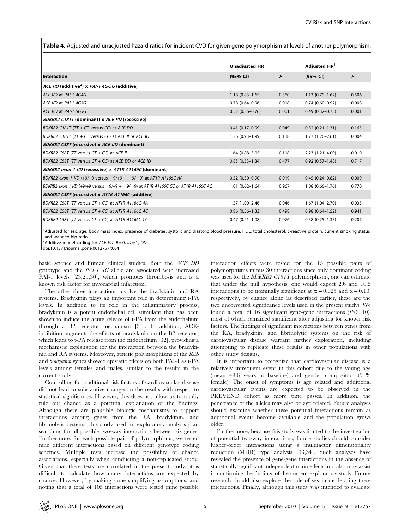Table 4. Adjusted and unadjusted hazard ratios for incident CVD for given gene polymorphism at levels of another polymorphism.

|                                                                                         | <b>Unadjusted HR</b> |       | Adjusted HR <sup>1</sup> |       |
|-----------------------------------------------------------------------------------------|----------------------|-------|--------------------------|-------|
| <b>Interaction</b>                                                                      | (95% CI)             | P     | (95% CI)                 | P     |
| ACE I/D (additive <sup>2</sup> ) x PAI-1 4G/5G (additive)                               |                      |       |                          |       |
| ACE I/D at PAI-1 4G4G                                                                   | $1.18(0.83 - 1.65)$  | 0.360 | $1.13(0.79-1.62)$        | 0.506 |
| ACE I/D at PAI-1 4G5G                                                                   | $0.78(0.64 - 0.96)$  | 0.018 | $0.74(0.60 - 0.92)$      | 0.008 |
| ACE I/D at PAI-1 5G5G                                                                   | $0.52(0.36 - 0.76)$  | 0.001 | $0.49(0.32 - 0.75)$      | 0.001 |
| BDKRB2 C181T (dominant) x ACE I/D (recessive)                                           |                      |       |                          |       |
| BDKRB2 C181T (TT + CT versus CC) at ACE DD                                              | $0.41(0.17-0.99)$    | 0.049 | $0.52(0.21 - 1.31)$      | 0.165 |
| BDKRB2 C181T (TT + CT versus CC) at ACE II or ACE ID                                    | $1.36(0.93 - 1.99)$  | 0.118 | $1.77(1.20-2.61)$        | 0.004 |
| BDKRB2 C58T (recessive) x ACE I/D (dominant)                                            |                      |       |                          |       |
| BDKRB2 C58T (TT versus $CT + CC$ ) at ACE II                                            | $1.64(0.88 - 3.05)$  | 0.118 | $2.23(1.21 - 4.09)$      | 0.010 |
| BDKRB2 C58T (TT versus $CT + CC$ ) at ACE DD or ACE ID                                  | $0.85(0.53 - 1.34)$  | 0.477 | $0.92(0.57-1.48)$        | 0.717 |
| BDKRB2 exon 1 I/D (recessive) x AT1R A1166C (dominant)                                  |                      |       |                          |       |
| BDKRB2 exon 1 I/D (+9/+9 versus $-9/+9$ + $-9/-9$ ) at AT1R A1166C AA                   | $0.52(0.30-0.90)$    | 0.019 | $0.45(0.24 - 0.82)$      | 0.009 |
| BDKRB2 exon 1 I/D (+9/+9 versus $-9/+9$ + $-9/$ -9) at AT1R A1166C CC or AT1R A1166C AC | $1.01(0.62 - 1.64)$  | 0.967 | $1.08(0.66 - 1.76)$      | 0.770 |
| BDKRB2 C58T (recessive) x AT1R A1166C (additive)                                        |                      |       |                          |       |
| BDKRB2 C58T (TT versus $CT + CC$ ) at AT1R A1166C AA                                    | $1.57(1.00-2.46)$    | 0.046 | $1.67(1.04 - 2.70)$      | 0.035 |
| BDKRB2 C58T (TT versus $CT + CC$ ) at AT1R A1166C AC                                    | $0.86(0.56 - 1.33)$  | 0.498 | $0.98(0.64 - 1.52)$      | 0.941 |
| BDKRB2 C58T (TT versus $CT + CC$ ) at AT1R A1166C CC                                    | $0.47(0.21 - 1.08)$  | 0.076 | $0.58(0.25 - 1.35)$      | 0.207 |

<sup>1</sup>Adjusted for sex, age, body mass index, presence of diabetes, systolic and diastolic blood pressure, HDL, total cholesterol, c-reactive protein, current smoking status, and waist-to-hip ratio.

<sup>2</sup> Additive model coding for ACE I/D:  $II = 0$ , ID = 1, DD.

doi:10.1371/journal.pone.0012757.t004

basic science and human clinical studies. Both the ACE DD genotype and the PAI-1 4G allele are associated with increased PAI-1 levels [23,29,30], which promotes thrombosis and is a known risk factor for myocardial infarction.

The other three interactions involve the bradykinin and RA systems. Bradykinin plays an important role in determining t-PA levels. In addition to its role in the inflammatory process, bradykinin is a potent endothelial cell stimulant that has been shown to induce the acute release of t-PA from the endothelium through a B2 receptor mechanism [31]. In addition, ACEinhibition augments the effects of bradykinin on the B2 receptor, which leads to t-PA release from the endothelium [32], providing a mechanistic explanation for the interaction between the bradykinin and RA systems. Moreover, genetic polymorphisms of the RAS and bradykinin genes showed epistatic effects on both PAI-1 as t-PA levels among females and males, similar to the results in the current study.

Controlling for traditional risk factors of cardiovascular disease did not lead to substantive changes in the results with respect to statistical significance. However, this does not allow us to totally rule out chance as a potential explanation of the findings. Although there are plausible biologic mechanisms to support interactions among genes from the RA, bradykinin, and fibrinolytic systems, this study used an exploratory analysis plan searching for all possible two-way interactions between six genes. Furthermore, for each possible pair of polymorphisms, we tested nine different interactions based on different genotype coding schemes. Multiple tests increase the possibility of chance associations, especially when conducting a non-replicated study. Given that these tests are correlated in the present study, it is difficult to calculate how many interactions are expected by chance. However, by making some simplifying assumptions, and noting that a total of 105 interactions were tested (nine possible

interaction effects were tested for the 15 possible pairs of polymorphisms minus 30 interactions since only dominant coding was used for the *BDKRB2 C181T* polymorphism), one can estimate that under the null hypothesis, one would expect 2.6 and 10.5 interactions to be nominally significant at  $\alpha = 0.025$  and  $\alpha = 0.10$ , respectively, by chance alone (as described earlier, these are the two uncorrected significance levels used in the present study). We found a total of 16 significant gene-gene interactions  $(P<0.10)$ , most of which remained significant after adjusting for known risk factors. The findings of significant interactions between genes from the RA, bradykinin, and fibrinolytic systems on the risk of cardiovascular disease warrant further exploration, including attempting to replicate these results in other populations with other study designs.

It is important to recognize that cardiovascular disease is a relatively infrequent event in this cohort due to the young age (mean 48.6 years at baseline) and gender composition (51% female). The onset of symptoms is age related and additional cardiovascular events are expected to be observed in the PREVEND cohort as more time passes. In addition, the penetrance of the alleles may also be age related. Future analyses should examine whether these potential interactions remain as additional events become available and the population grows older.

Furthermore, because this study was limited to the investigation of potential two-way interactions, future studies should consider higher-order interactions using a multifactor dimensionality reduction (MDR) type analysis [33,34]. Such analyses have revealed the presence of gene-gene interactions in the absence of statistically significant independent main effects and also may assist in confirming the findings of the current exploratory study. Future research should also explore the role of sex in moderating these interactions. Finally, although this study was intended to evaluate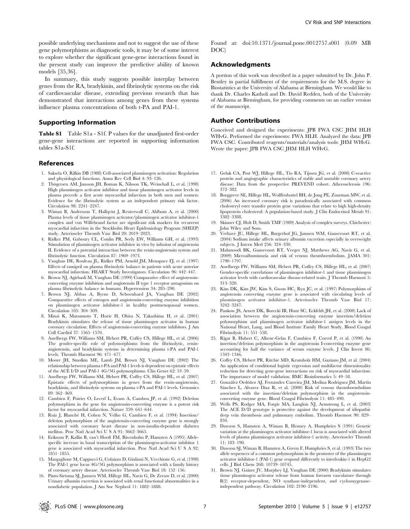possible underlying mechanisms and not to suggest the use of these gene polymorphisms as diagnostic tools, it may be of some interest to explore whether the significant gene-gene interactions found in the present study can improve the predictive ability of known models [35,36].

In summary, this study suggests possible interplay between genes from the RA, bradykinin, and fibrinolytic systems on the risk of cardiovascular disease, extending previous research that has demonstrated that interactions among genes from these systems influence plasma concentrations of both t-PA and PAI-1.

#### Supporting Information

Table S1 Table S1a - S1f. P values for the unadjusted first-order gene-gene interactions are reported in supporting information tables S1a-S1f.

#### References

- 1. Saksela O, Rifkin DB (1988) Cell-associated plasminogen activation: Regulation and physiological functions. Annu Rev Cell Biol 4: 93–126.
- 2. Thögersen AM, Jansson JH, Boman K, Nilsson TK, Weinehall L, et al. (1998) High plasminogen activator inhibitor and tissue plasminogen activator levels in plasma precede a first acute myocardial infarction in both men and women: Evidence for the fibrinolytic system as an independent primary risk factor. Circulation 98: 2241–2247.
- 3. Wiman B, Andersson T, Hallqvist J, Reuterwall C, Ahlbom A, et al. (2000) Plasma levels of tissue plasminogen activator/plasminogen activator inhibitor-1 complex and von Willebrand factor are significant risk markers for recurrent myocardial infarction in the Stockholm Heart Epidemiology Program (SHEEP) study. Arterioscler Thromb Vasc Biol 20: 2019–2023.
- 4. Ridker PM, Gaboury CL, Conlin PR, Seely EW, Williams GH, et al. (1993) Stimulation of plasminogen activator inhibitor in vivo by infusion of angiotensin II. Evidence of a potential interaction between the renin-angiotensin system and fibrinolytic function. Circulation 87: 1969–1973.
- 5. Vaughan DE, Rouleau JL, Ridker PM, Arnold JM, Menapace FJ, et al. (1997) Effects of ramipril on plasma fibrinolytic balance in patients with acute anterior myocardial infarction. HEART Study Investigators. Circulation 96: 442–447.
- 6. Brown NJ, Agirbasli M, Vaughan DE (1999) Comparative effect of angiotensinconverting enzyme inhibition and angiotensin II type 1 receptor antagonism on plasma fibrinolytic balance in humans. Hypertension 34: 285–290.
- 7. Brown NJ, Abbas A, Byrne D, Schoenhard JA, Vaughan DE (2002) Comparative effects of estrogen and angiotensin-converting enzyme inhibition on plasminogen activator inhibitor-1 in healthy postmenopausal women. Circulation 105: 304–309.
- 8. Minai K, Matsumoto T, Horie H, Ohira N, Takashima H, et al. (2001) Bradykinin stimulates the release of tissue plasminogen activator in human coronary circulation: Effects of angiotensin-converting enzyme inhibitors. J Am Coll Cardiol 37: 1565–1570.
- 9. Asselbergs FW, Williams SM, Hebert PR, Coffey CS, Hillege HL, et al. (2006) The gender-specific role of polymorphisms from the fibrinolytic, reninangiotensin, and bradykinin systems in determining plasma t-PA and PAI-1 levels. Thromb Haemost 96: 471–477.
- 10. Moore JH, Smolkin ME, Lamb JM, Brown NJ, Vaughan DE (2002) The relationship between plasma t-PA and PAI-1 levels is dependent on epistatic effects of the ACE I/D and PAI-1 4G/5G polymorphisms. Clin Genet 62: 53–59.
- 11. Asselbergs FW, Williams SM, Hebert PR, Coffey CS, Hillege HL, et al. (2007) Epistatic effects of polymorphisms in genes from the renin-angiotensin, bradykinin, and fibrinolytic systems on plasma t-PA and PAI-1 levels. Genomics 89: 362–369.
- 12. Cambien F, Poirier O, Lecerf L, Evans A, Cambou JP, et al. (1992) Deletion polymorphism in the gene for angiotensin-converting enzyme is a potent risk factor for myocardial infarction. Nature 359: 641–644.
- 13. Ruiz J, Blanche´ H, Cohen N, Velho G, Cambien F, et al. (1994) Insertion/ deletion polymorphism of the angiotensin-converting enzyme gene is strongly associated with coronary heart disease in non-insulin-dependent diabetes mellitus. Proc Natl Acad Sci U S A 91: 3662–3665.
- 14. Eriksson P, Kallin B, van't Hooft FM, Båvenholm P, Hamsten A (1995) Allelespecific increase in basal transcription of the plasminogen-activator inhibitor 1 gene is associated with myocardial infarction. Proc Natl Acad Sci U S A 92: 1851–1855.
- 15. Margaglione M, Cappucci G, Colaizzo D, Giuliani N, Vecchione G, et al. (1998) The PAI-1 gene locus 4G/5G polymorphism is associated with a family history of coronary artery disease. Arterioscler Thromb Vasc Biol 18: 152–156.
- 16. Pinto-Sietsma SJ, Janssen WM, Hillege HL, Navis G, De Zeeuw D, et al. (2000) Urinary albumin excretion is associated with renal functional abnormalities in a nondiabetic population. J Am Soc Nephrol 11: 1882–1888.

Found at: doi:10.1371/journal.pone.0012757.s001 (0.09 MB DOC)

#### Acknowledgments

A portion of this work was described in a paper submitted by Dr. John P. Bentley in partial fulfillment of the requirements for the M.S. degree in Biostatistics at the University of Alabama at Birmingham. We would like to thank Dr. Charles Katholi and Dr. David Redden, both of the University of Alabama at Birmingham, for providing comments on an earlier version of the manuscript.

#### Author Contributions

Conceived and designed the experiments: JPB FWA CSC JHM HLH WHvG. Performed the experiments: FWA HLH. Analyzed the data: JPB FWA CSC. Contributed reagents/materials/analysis tools: JHM WHvG. Wrote the paper: JPB FWA CSC JHM HLH WHvG.

- 17. Geluk CA, Post WJ, Hillege HL, Tio RA, Tijssen JG, et al. (2008) C-reactive protein and angiographic characteristics of stable and unstable coronary artery disease: Data from the prospective PREVEND cohort. Atherosclerosis 196: 372–382.
- 18. Borggreve SE, Hillege HL, Wolffenbuttel BH, de Jong PE, Zuurman MW, et al. (2006) An increased coronary risk is paradoxically associated with common cholesteryl ester transfer protein gene variations that relate to high high-density lipoprotein cholesterol: A population-based study. J Clin Endocrinol Metab 91: 3382–3388.
- 19. Skinner CJ, Holt D, Smith TMF (1989) Analysis of complex surveys. Chichester: John Wiley and Sons.
- 20. Verhave JC, Hillege HL, Burgerhof JG, Janssen WM, Gansevoort RT, et al. (2004) Sodium intake affects urinary albumin excretion especially in overweight subjects. J Intern Med 256: 324–330.
- 21. Mahmoodi BK, Gansevoort RT, Veeger NJ, Matthews AG, Navis G, et al. (2009) Microalbuminuria and risk of venous thromboembolism. JAMA 301: 1790–1797.
- 22. Asselbergs FW, Williams SM, Hebert PR, Coffey CS, Hillege HL, et al. (2007) Gender-specific correlations of plasminogen inhibitor-1 and tissue plasminogen activator levels with cardiovascular disease-related traits. J Thromb Haemost 5: 313–320.
- 23. Kim DK, Kim JW, Kim S, Gwon HC, Ryu JC, et al. (1997) Polymorphism of angiotensin converting enzyme gene is associated with circulating levels of plasminogen activator inhibitor-1. Arterioscler Thromb Vasc Biol 17: 3242–3247.
- 24. Pankow JS, Arnett DK, Borecki IB, Hunt SC, Eckfeldt JH, et al. (2000) Lack of association between the angiotensin-converting enzyme insertion/deletion polymorphism and plasminogen activator inhibitor-1 antigen levels in the National Heart, Lung, and Blood Institute Family Heart Study. Blood Coagul Fibrinolysis 11: 551–558.
- 25. Rigat B, Hubert C, Alhenc-Gelas F, Cambien F, Corvol P, et al. (1990) An insertion/deletion polymorphism in the angiotensin I-converting enzyme gene accounting for half the variance of serum enzyme levels. J Clin Invest 86: 1343–1346.
- 26. Coffey CS, Hebert PR, Ritchie MD, Krumholz HM, Gaziano JM, et al. (2004) An application of conditional logistic regression and multifactor dimensionality reduction for detecting gene-gene interactions on risk of myocardial infarction: The importance of model validation. BMC Bioinformatics 5: 49–58.
- 27. González Ordóñez AJ, Fernández Carreira JM, Medina Rodríguez JM, Martín Sánchez L, Alvarez Díaz R, et al. (2000) Risk of venous thromboembolism associated with the insertion/deletion polymorphism in the angiotensinconverting enzyme gene. Blood Coagul Fibrinolysis 11: 485–490.
- 28. Wells PS, Rodger MA, Forgie MA, Langlois NJ, Armstrong L, et al. (2003) The ACE D/D genotype is protective against the development of idiopathic deep vein thrombosis and pulmonary embolism. Thromb Haemost 90: 829– 834.
- 29. Dawson S, Hamsten A, Wiman B, Henney A, Humphries S (1991) Genetic variation at the plasminogen activator inhibitor-1 locus is associated with altered levels of plasma plasminogen activator inhibitor-1 activity. Arterioscler Thromb 11: 183–190.
- 30. Dawson SJ, Wiman B, Hamsten A, Green F, Humphries S, et al. (1993) The two allele sequences of a common polymorphism in the promoter of the plasminogen activator inhibitor-1 (PAI-1) gene respond differently to interleukin-1 in HepG2 cells. J Biol Chem 268: 10739–10745.
- 31. Brown NJ, Gainer JV, Murphey LJ, Vaughan DE (2000) Bradykinin stimulates tissue plasminogen activator release from human forearm vasculature through B(2) receptor-dependent, NO synthase-independent, and cyclooxygenaseindependent pathway. Circulation 102: 2190–2196.